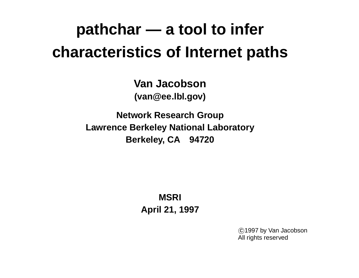# **pathchar — <sup>a</sup> tool to infer characteristics of Internet paths**

**Van Jacobson(van@ee.lbl.gov)**

**Network Research Group Lawrence Berkeley National Laboratory Berkeley, CA 94720**

> **MSRI April 21, 1997**

> > <sup>c</sup> 1997 by Van Jacobson All rights reserved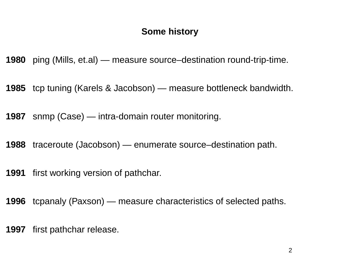# **Some history**

ping (Mills, et.al) — measure source–destination round-trip-time.

- tcp tuning (Karels & Jacobson) measure bottleneck bandwidth.
- snmp (Case) intra-domain router monitoring.
- traceroute (Jacobson) enumerate source–destination path.
- first working version of pathchar.
- tcpanaly (Paxson) measure characteristics of selected paths.
- first pathchar release.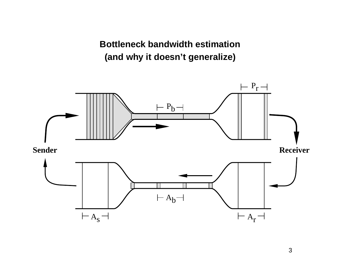**Bottleneck bandwidth estimation (and why it doesn't generalize)**

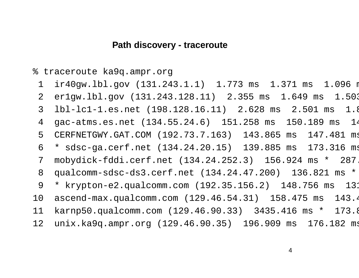#### **Path discovery - traceroute**

#### % traceroute ka9q.ampr.org

 ir40gw.lbl.gov (131.243.1.1) 1.773 ms 1.371 ms 1.096 <sup>m</sup> er1gw.lbl.gov (131.243.128.11) 2.355 ms 1.649 ms 1.503 lbl-lc1-1.es.net (198.128.16.11) 2.628 ms 2.501 ms 1.8 gac-atms.es.net (134.55.24.6) 151.258 ms 150.189 ms 14 CERFNETGWY.GAT.COM (192.73.7.163) 143.865 ms 147.481 ms \* sdsc-ga.cerf.net (134.24.20.15) 139.885 ms 173.316 ms mobydick-fddi.cerf.net (134.24.252.3) 156.924 ms \* 287. qualcomm-sdsc-ds3.cerf.net (134.24.47.200) 136.821 ms \* \* krypton-e2.qualcomm.com (192.35.156.2) 148.756 ms 131 ascend-max.qualcomm.com (129.46.54.31) 158.475 ms 143.4 karnp50.qualcomm.com (129.46.90.33) 3435.416 ms \* 173.8 unix.ka9q.ampr.org (129.46.90.35) 196.909 ms 176.182 ms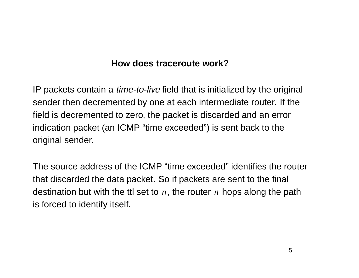# **How does traceroute work?**

IP packets contain a *time-to-live* field that is initialized by the original sender then decremented by one at each intermediate router. If the field is decremented to zero, the packet is discarded and an error indication packet (an ICMP "time exceeded") is sent back to the original sender.

The source address of the ICMP "time exceeded" identifies the router that discarded the data packet. So if packets are sent to the final destination but with the ttl set to *<sup>n</sup>*, the router *<sup>n</sup>* hops along the path is forced to identify itself.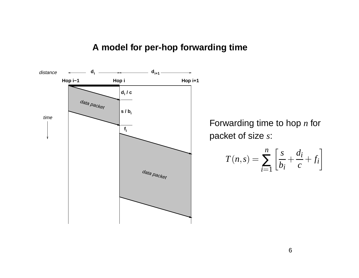#### **A model for per-hop forwarding time**



Forwarding time to hop *n* for packet of size *s*:

$$
T(n,s) = \sum_{i=1}^{n} \left[ \frac{s}{b_i} + \frac{d_i}{c} + f_i \right]
$$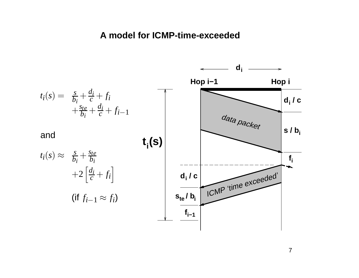#### **A model for ICMP-time-exceeded**

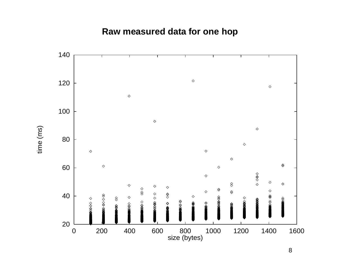## **Raw measured data for one hop**



time (ms)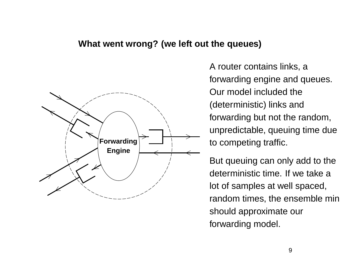#### **What went wrong? (we left out the queues)**



A router contains links, <sup>a</sup> forwarding engine and queues. Our model included the(deterministic) links and forwarding but not the random, unpredictable, queuing time due to competing traffic.

But queuing can only add to the deterministic time. If we take alot of samples at well spaced, random times, the ensemble min should approximate our forwarding model.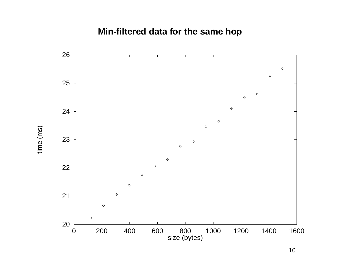# **Min-filtered data for the same hop**



time (ms)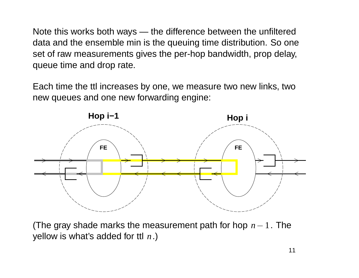Note this works both ways — the difference between the unfiltered data and the ensemble min is the queuing time distribution. So one set of raw measurements gives the per-hop bandwidth, prop delay, queue time and drop rate.

Each time the ttl increases by one, we measure two new links, two new queues and one new forwarding engine:



(The gray shade marks the measurement path for hop  $\,n-1\,.$  The yellow is what's added for ttl *<sup>n</sup>*.)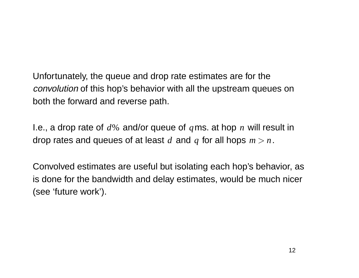Unfortunately, the queue and drop rate estimates are for the convolution of this hop's behavior with all the upstream queues on both the forward and reverse path.

I.e., <sup>a</sup> drop rate of *d* % and/or queue of *q*ms. at hop *n* will result in drop rates and queues of at least  $\emph{d}$  and  $\emph{q}$  for all hops  $\emph{m}$   $>$   $\emph{n}$  .

Convolved estimates are useful but isolating each hop's behavior, as is done for the bandwidth and delay estimates, would be much nicer (see 'future work').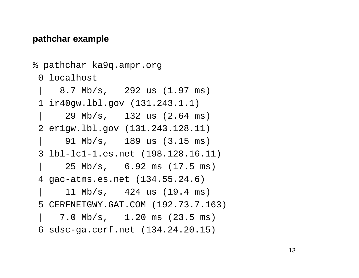#### **pathchar example**

% pathchar ka9q.ampr.org 0 localhost | 8.7 Mb/s, <sup>292</sup> us (1.97 ms) 1 ir40gw.lbl.gov (131.243.1.1) | <sup>29</sup> Mb/s, <sup>132</sup> us (2.64 ms) 2 er1gw.lbl.gov (131.243.128.11) | <sup>91</sup> Mb/s, <sup>189</sup> us (3.15 ms) 3 lbl-lc1-1.es.net (198.128.16.11) | <sup>25</sup> Mb/s, 6.92 ms (17.5 ms) 4 gac-atms.es.net (134.55.24.6) | <sup>11</sup> Mb/s, <sup>424</sup> us (19.4 ms) 5 CERFNETGWY.GAT.COM (192.73.7.163) | 7.0 Mb/s, 1.20 ms (23.5 ms) 6 sdsc-ga.cerf.net (134.24.20.15)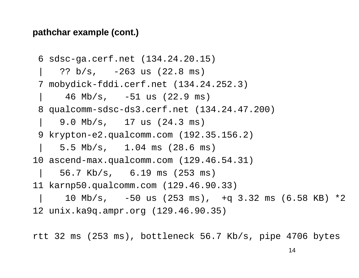#### **pathchar example (cont.)**

6 sdsc-ga.cerf.net (134.24.20.15)  $?? b/s, -263 us (22.8 ms)$ 7 mobydick-fddi.cerf.net (134.24.252.3) | <sup>46</sup> Mb/s, -51 us (22.9 ms) 8 qualcomm-sdsc-ds3.cerf.net (134.24.47.200) | 9.0 Mb/s, <sup>17</sup> us (24.3 ms) 9 krypton-e2.qualcomm.com (192.35.156.2) | 5.5 Mb/s, 1.04 ms (28.6 ms) 10 ascend-max.qualcomm.com (129.46.54.31) | 56.7 Kb/s, 6.19 ms (253 ms) 11 karnp50.qualcomm.com (129.46.90.33) | <sup>10</sup> Mb/s, -50 us (253 ms), +q 3.32 ms (6.58 KB) \*2 12 unix.ka9q.ampr.org (129.46.90.35)

rtt 32 ms (253 ms), bottleneck 56.7 Kb/s, pipe 4706 bytes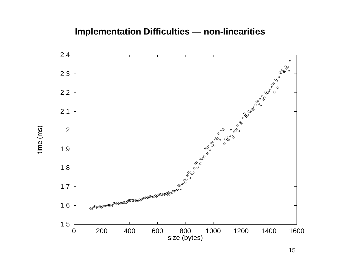

time (ms)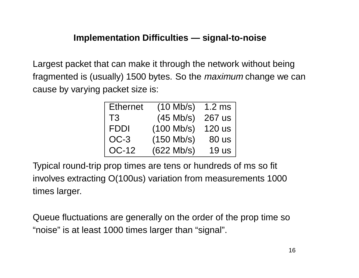## **Implementation Difficulties — signal-to-noise**

Largest packet that can make it through the network without being fragmented is (usually) 1500 bytes. So the *maximum* change we can cause by varying packet size is:

| <b>Ethernet</b> | $(10$ Mb/s)  | $1.2 \text{ ms}$ |
|-----------------|--------------|------------------|
| T3              | $(45$ Mb/s)  | 267 us           |
| <b>FDDI</b>     | $(100$ Mb/s) | <b>120 us</b>    |
| $OC-3$          | $(150$ Mb/s) | <b>80 us</b>     |
| OC-12           | $(622$ Mb/s) | <b>19 us</b>     |

Typical round-trip prop times are tens or hundreds of ms so fit involves extracting O(100us) variation from measurements 1000 times larger.

Queue fluctuations are generally on the order of the prop time so "noise" is at least 1000 times larger than "signal".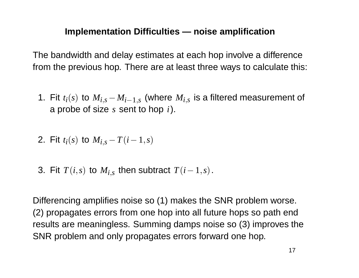## **Implementation Difficulties — noise amplification**

The bandwidth and delay estimates at each hop involve <sup>a</sup> difference from the previous hop. There are at least three ways to calculate this:

- 1. Fit  $t_i(s)$  to  $M_{i,s}-M_{i-1,s}$  (where  $M_{i,s}$  is a filtered measurement of <sup>a</sup> probe of size *s* sent to hop *i*).
- 2. Fit  $t_i(s)$  to  $M_{i,s}-T(i-1,s)$
- 3. Fit  $T(i,s)$  to  $M_{i,s}$  then subtract  $T(i-1,s)$ .

Differencing amplifies noise so (1) makes the SNR problem worse. (2) propagates errors from one hop into all future hops so path end results are meaningless. Summing damps noise so (3) improves the SNR problem and only propagates errors forward one hop.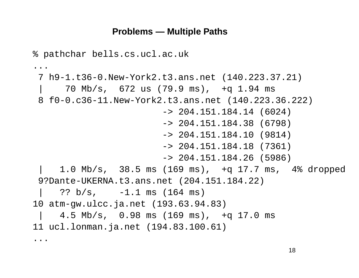#### **Problems — Multiple Paths**

% pathchar bells.cs.ucl.ac.uk ...7 h9-1.t36-0.New-York2.t3.ans.net (140.223.37.21) | <sup>70</sup> Mb/s, <sup>672</sup> us (79.9 ms), +q 1.94 ms 8 f0-0.c36-11.New-York2.t3.ans.net (140.223.36.222) -> 204.151.184.14 (6024) -> 204.151.184.38 (6798) -> 204.151.184.10 (9814) -> 204.151.184.18 (7361) -> 204.151.184.26 (5986) | 1.0 Mb/s, 38.5 ms (169 ms), +q 17.7 ms, 4% dropped 9?Dante-UKERNA.t3.ans.net (204.151.184.22)  $??$  b/s,  $-1.1$  ms (164 ms) 10 atm-gw.ulcc.ja.net (193.63.94.83) | 4.5 Mb/s, 0.98 ms (169 ms), +q 17.0 ms 11 ucl.lonman.ja.net (194.83.100.61) ...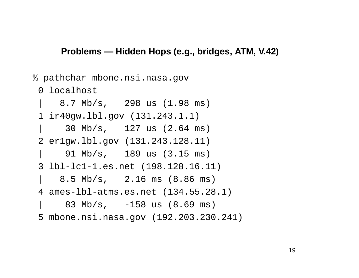#### **Problems — Hidden Hops (e.g., bridges, ATM, V.42)**

% pathchar mbone.nsi.nasa.gov 0 localhost | 8.7 Mb/s, <sup>298</sup> us (1.98 ms) 1 ir40gw.lbl.gov (131.243.1.1) | <sup>30</sup> Mb/s, <sup>127</sup> us (2.64 ms) 2 er1gw.lbl.gov (131.243.128.11) | <sup>91</sup> Mb/s, <sup>189</sup> us (3.15 ms) 3 lbl-lc1-1.es.net (198.128.16.11) | 8.5 Mb/s, 2.16 ms (8.86 ms) 4 ames-lbl-atms.es.net (134.55.28.1) | <sup>83</sup> Mb/s, -158 us (8.69 ms) 5 mbone.nsi.nasa.gov (192.203.230.241)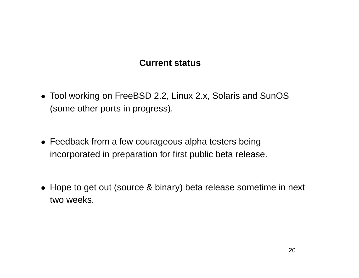# **Current status**

- Tool working on FreeBSD 2.2, Linux 2.x, Solaris and SunOS (some other ports in progress).
- Feedback from <sup>a</sup> few courageous alpha testers being incorporated in preparation for first public beta release.
- Hope to get out (source & binary) beta release sometime in next two weeks.